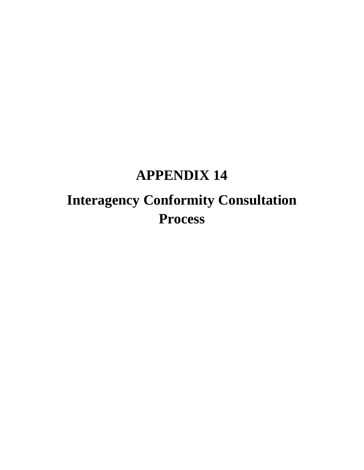## **APPENDIX 14**

# **Interagency Conformity Consultation Process**